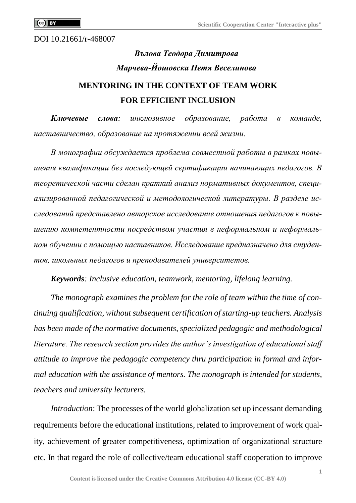DOI 10.21661/r-468007

# *Вълова Теодора Димитрова Марчева-Йошовска Петя Веселинова* **MENTORING IN THE CONTEXT OF TEAM WORK FOR EFFICIENT INCLUSION**

*Ключевые слова: инклюзивное образование, работа в команде, наставничество, образование на протяжении всей жизни.*

*В монографии обсуждается проблема совместной работы в рамках повышения квалификации без последующей сертификации начинающих педагогов. В теоретической части сделан краткий анализ нормативных документов, специализированной педагогической и методологической литературы. В разделе исследований представлено авторское исследование отношения педагогов к повышению компетентности посредством участия в неформальном и неформальном обучении с помощью наставников. Исследование предназначено для студентов, школьных педагогов и преподавателей университетов.*

*Keywords: Inclusive education, teamwork, mentoring, lifelong learning.*

*The monograph examines the problem for the role of team within the time of continuing qualification, without subsequent certification of starting-up teachers. Analysis has been made of the normative documents, specialized pedagogic and methodological literature. The research section provides the author's investigation of educational staff attitude to improve the pedagogic competency thru participation in formal and informal education with the assistance of mentors. The monograph is intended for students, teachers and university lecturers.*

*Introduction*: The processes of the world globalization set up incessant demanding requirements before the educational institutions, related to improvement of work quality, achievement of greater competitiveness, optimization of organizational structure etc. In that regard the role of collective/team educational staff cooperation to improve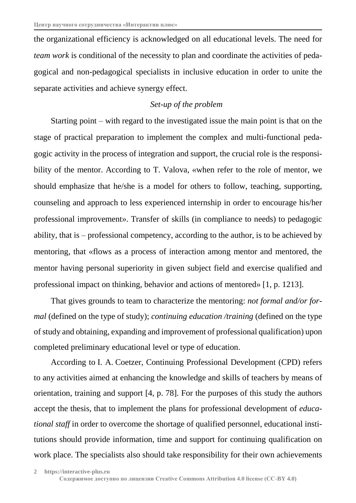the organizational efficiency is acknowledged on all educational levels. The need for *team work* is conditional of the necessity to plan and coordinate the activities of pedagogical and non-pedagogical specialists in inclusive education in order to unite the separate activities and achieve synergy effect.

## *Set-up of the problem*

Starting point – with regard to the investigated issue the main point is that on the stage of practical preparation to implement the complex and multi-functional pedagogic activity in the process of integration and support, the crucial role is the responsibility of the mentor. According to T. Valova, «when refer to the role of mentor, we should emphasize that he/she is a model for others to follow, teaching, supporting, counseling and approach to less experienced internship in order to encourage his/her professional improvement». Transfer of skills (in compliance to needs) to pedagogic ability, that is – professional competency, according to the author, is to be achieved by mentoring, that «flows as a process of interaction among mentor and mentored, the mentor having personal superiority in given subject field and exercise qualified and professional impact on thinking, behavior and actions of mentored» [1, p. 1213].

That gives grounds to team to characterize the mentoring: *not formal and/or formal* (defined on the type of study); *continuing education /training* (defined on the type ofstudy and obtaining, expanding and improvement of professional qualification) upon completed preliminary educational level or type of education.

According to I. A. Coetzer, Continuing Professional Development (CPD) refers to any activities aimed at enhancing the knowledge and skills of teachers by means of orientation, training and support [4, p. 78]. For the purposes of this study the authors accept the thesis, that to implement the plans for professional development of *educational staff* in order to overcome the shortage of qualified personnel, educational institutions should provide information, time and support for continuing qualification on work place. The specialists also should take responsibility for their own achievements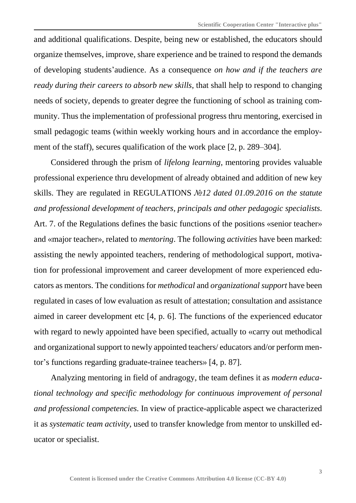and additional qualifications. Despite, being new or established, the educators should organize themselves, improve, share experience and be trained to respond the demands of developing students'audience. As a consequence *on how and if the teachers are ready during their careers to absorb new skills*, that shall help to respond to changing needs of society, depends to greater degree the functioning of school as training community. Thus the implementation of professional progress thru mentoring, exercised in small pedagogic teams (within weekly working hours and in accordance the employment of the staff), secures qualification of the work place [2, p. 289–304].

Considered through the prism of *lifelong learning*, mentoring provides valuable professional experience thru development of already obtained and addition of new key skills. They are regulated in REGULATIONS *№12 dated 01.09.2016 on the statute and professional development of teachers, principals and other pedagogic specialists*. Art. 7. of the Regulations defines the basic functions of the positions «senior teacher» and «major teacher», related to *mentoring*. The following *activities* have been marked: assisting the newly appointed teachers, rendering of methodological support, motivation for professional improvement and career development of more experienced educators as mentors. The conditions for *methodical* and *organizational support* have been regulated in cases of low evaluation as result of attestation; consultation and assistance aimed in career development etc [4, p. 6]. The functions of the experienced educator with regard to newly appointed have been specified, actually to «carry out methodical and organizational support to newly appointed teachers/ educators and/or perform mentor's functions regarding graduate-trainee teachers» [4, p. 87].

Analyzing mentoring in field of andragogy, the team defines it as *modern educational technology and specific methodology for continuous improvement of personal and professional competencies.* In view of practice-applicable aspect we characterized it as *systematic team activity*, used to transfer knowledge from mentor to unskilled educator or specialist.

**3**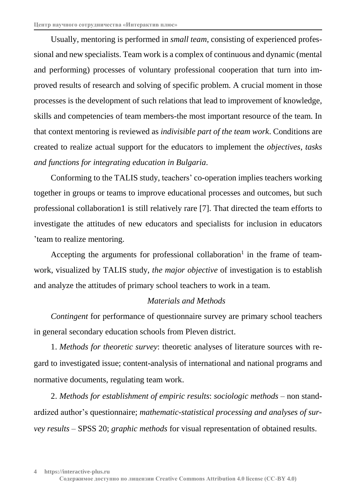Usually, mentoring is performed in *small team*, consisting of experienced professional and new specialists. Team work is a complex of continuous and dynamic (mental and performing) processes of voluntary professional cooperation that turn into improved results of research and solving of specific problem. A crucial moment in those processes is the development of such relations that lead to improvement of knowledge, skills and competencies of team members-the most important resource of the team. In that context mentoring is reviewed as *indivisible part of the team work*. Conditions are created to realize actual support for the educators to implement the *objectives*, *tasks and functions for integrating education in Bulgaria*.

Conforming to the TALIS study, teachers' co-operation implies teachers working together in groups or teams to improve educational processes and outcomes, but such professional collaboration1 is still relatively rare [7]. That directed the team efforts to investigate the attitudes of new educators and specialists for inclusion in educators 'team to realize mentoring.

Accepting the arguments for professional collaboration<sup>1</sup> in the frame of teamwork, visualized by TALIS study, *the major objective* of investigation is to establish and analyze the attitudes of primary school teachers to work in a team.

## *Materials and Methods*

*Contingent* for performance of questionnaire survey are primary school teachers in general secondary education schools from Pleven district.

1. *Methods for theoretic survey*: theoretic analyses of literature sources with regard to investigated issue; content-analysis of international and national programs and normative documents, regulating team work.

2. *Methods for establishment of empiric results*: *sociologic methods –* non standardized author's questionnaire; *mathematic-statistical processing and analyses of survey results* – SPSS 20; *graphic methods* for visual representation of obtained results.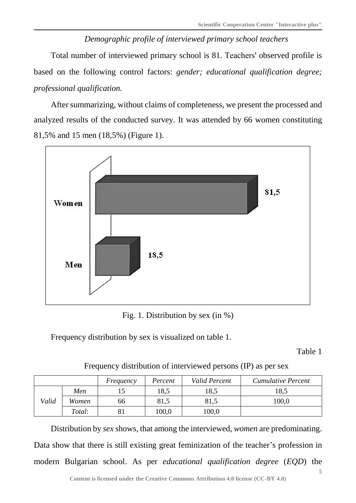## *Demographic profile of interviewed primary school teachers*

Total number of interviewed primary school is 81. Тeachers' observed profile is based on the following control factors: *gender; educational qualification degree; professional qualification.*

After summarizing, without claims of completeness, we present the processed and analyzed results of the conducted survey. It was attended by 66 women constituting 81,5% and 15 men (18,5%) (Figure 1).



Fig. 1. Distribution by sex (in %)

Frequency distribution by sex is visualized on table 1.

Table 1

Frequency distribution of interviewed persons (IP) as per sex

|       |        | Frequency | Percent | Valid Percent | <b>Cumulative Percent</b> |
|-------|--------|-----------|---------|---------------|---------------------------|
|       | Men    |           | 18,5    | 18,5          | 18,5                      |
| Valid | Women  | 66        | 81,5    | 81,5          | 100,0                     |
|       | Total: |           | 100,0   | 100,0         |                           |

Distribution by *sex* shows, that among the interviewed, *women* are predominating. Data show that there is still existing great feminization of the teacher's profession in modern Bulgarian school. As per *educational qualification degree* (*EQD*) the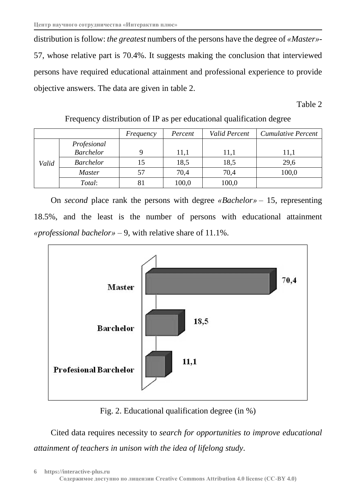distribution isfollow: *the greatest* numbers of the persons have the degree of *«Master»-* 57, whose relative part is 70.4%. It suggests making the conclusion that interviewed persons have required educational attainment and professional experience to provide objective answers. The data are given in table 2.

Table 2

|       |                  | Frequency | Percent | Valid Percent | <b>Cumulative Percent</b> |
|-------|------------------|-----------|---------|---------------|---------------------------|
|       | Profesional      |           |         |               |                           |
|       | <b>Barchelor</b> |           | 11,1    | 11,1          | 11,1                      |
| Valid | <b>Barchelor</b> | 15        | 18,5    | 18,5          | 29,6                      |
|       | <i>Master</i>    | 57        | 70,4    | 70,4          | 100,0                     |
|       | Total:           |           | 100,0   | 100,0         |                           |

Frequency distribution of IP as per educational qualification degree

On *second* place rank the persons with degree *«Bachelor» –* 15, representing 18.5%, and the least is the number of persons with educational attainment *«professional bachelor» –* 9, with relative share of 11.1%.



Fig. 2. Educational qualification degree (in %)

Cited data requires necessity to *search for opportunities to improve educational attainment of teachers in unison with the idea of lifelong study*.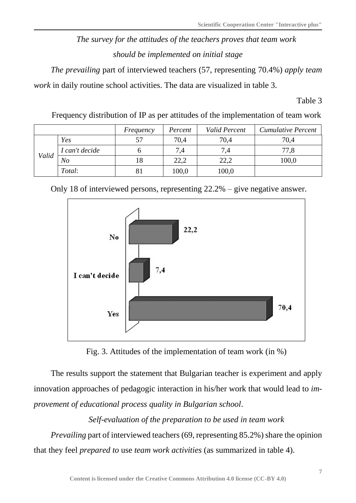## *The survey for the attitudes of the teachers proves that team work should be implemented on initial stage*

*The prevailing* part of interviewed teachers (57, representing 70.4%) *apply team work* in daily routine school activities. The data are visualized in table 3.

Table 3

Frequency distribution of IP as per attitudes of the implementation of team work

|       |                | Frequency | Percent | Valid Percent | <b>Cumulative Percent</b> |
|-------|----------------|-----------|---------|---------------|---------------------------|
|       | Yes            | 57        | 70,4    | 70,4          | 70,4                      |
|       | I can't decide |           | 7,4     | 7,4           | 77,8                      |
| Valid | No             | 18        | 22,2    | 22,2          | 100,0                     |
|       | Total:         |           | 100,0   | 100,0         |                           |

Only 18 of interviewed persons, representing 22.2% – give negative answer.



Fig. 3. Attitudes of the implementation of team work (in %)

The results support the statement that Bulgarian teacher is experiment and apply innovation approaches of pedagogic interaction in his/her work that would lead to *improvement of educational process quality in Bulgarian school*.

## *Self*-*evaluation of the preparation to be used in team work*

*Prevailing* part of interviewed teachers (69, representing 85.2%) share the opinion that they feel *prepared to* use *team work activities* (as summarized in table 4).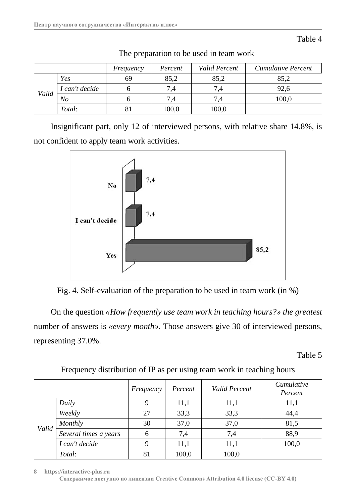*Frequency Percent Valid Percent Cumulative Percent Valid Yes* 1 69 85,2 85,2 85,2 *I* can't decide  $\begin{array}{|c|c|c|c|c|} \hline 6 & 7,4 & 7,4 & \end{array}$  92.6 *No* 100,0 *Total*:  $\begin{array}{|c|c|c|c|} \hline 81 & 100,0 & 100,0 \ \hline \end{array}$ 

Тhe preparation to be used in team work

Insignificant part, only 12 of interviewed persons, with relative share 14.8%, is not confident to apply team work activities.



Fig. 4. Self-evaluation of the preparation to be used in team work (in %)

On the question *«How frequently use team work in teaching hours?» the greatest* number of answers is *«every month».* Those answers give 30 of interviewed persons, representing 37.0%.

Table 5

|       |                       | Frequency | Percent | <b>Valid Percent</b> | Cumulative<br>Percent |
|-------|-----------------------|-----------|---------|----------------------|-----------------------|
|       | Daily                 |           | 11,1    | 11,1                 | 11,1                  |
|       | Weekly                | 27        | 33,3    | 33,3                 | 44,4                  |
| Valid | Monthly               | 30        | 37,0    | 37,0                 | 81,5                  |
|       | Several times a years |           | 7,4     | 7,4                  | 88,9                  |
|       | I can't decide        |           | 11,1    | 11,1                 | 100,0                 |
|       | Total:                | 81        | 100,0   | 100,0                |                       |

## Frequency distribution of IP as per using team work in teaching hours

**8 https://interactive-plus.ru**

**Содержимое доступно по лицензии Creative Commons Attribution 4.0 license (CC-BY 4.0)**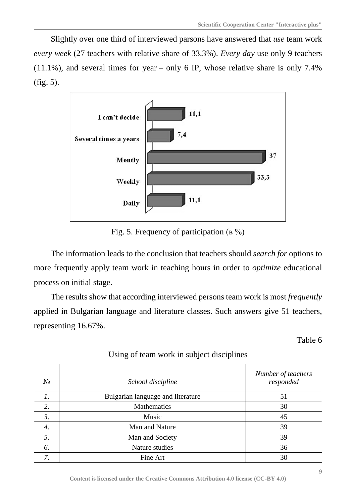Slightly over one third of interviewed parsons have answered that *use* team work *every week* (27 teachers with relative share of 33.3%). *Every day* use only 9 teachers  $(11.1\%)$ , and several times for year – only 6 IP, whose relative share is only 7.4% (fig. 5).



Fig. 5. Frequency of participation (в %)

The information leads to the conclusion that teachers should *search for* options to more frequently apply team work in teaching hours in order to *optimize* educational process on initial stage.

The results show that according interviewed persons team work is most *frequently* applied in Bulgarian language and literature classes. Such answers give 51 teachers, representing 16.67%.

Table 6

| $N_2$ | School discipline                 | Number of teachers<br>responded |
|-------|-----------------------------------|---------------------------------|
| 1.    | Bulgarian language and literature | 51                              |
| 2.    | Mathematics                       | 30                              |
| 3.    | Music                             | 45                              |
| 4.    | Man and Nature                    | 39                              |
| 5.    | Man and Society                   | 39                              |
| 6.    | Nature studies                    | 36                              |
| 7.    | Fine Art                          | 30                              |

## Using of team work in subject disciplines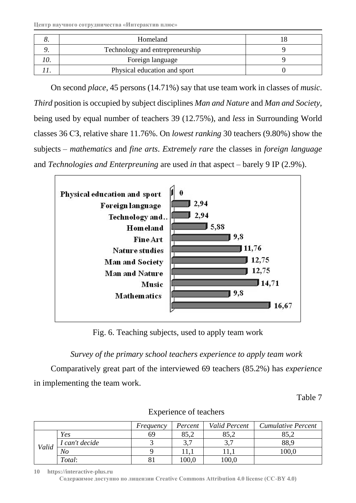| Homeland                        |  |
|---------------------------------|--|
| Technology and entrepreneurship |  |
| Foreign language                |  |
| Physical education and sport    |  |

On second *place*, 45 persons (14.71%) say that use team work in classes of *music*. *Third* position is occupied by subject disciplines *Man and Nature* and *Man and Society*, being used by equal number of teachers 39 (12.75%), and *less* in Surrounding World classes 36 СЗ, relative share 11.76%. On *lowest ranking* 30 teachers (9.80%) show the subjects – *mathematics* and *fine arts*. *Extremely rare* the classes in *foreign language* and *Technologies and Enterpreuning* are used *in* that aspect – barely 9 IP (2.9%).



Fig. 6. Teaching subjects, used to apply team work

*Survey of the primary school teachers experience to apply team work*

Comparatively great part of the interviewed 69 teachers (85.2%) has *experience* in implementing the team work.

Table 7

|       |              | Frequency | Percent              | Valid Percent        | <b>Cumulative Percent</b> |
|-------|--------------|-----------|----------------------|----------------------|---------------------------|
|       | Yes          | 69        | 85,2                 | 85,2                 | 85,2                      |
|       | can't decide |           | $\gamma$ $\pi$<br>◡. | $\gamma$ $\pi$<br>◡• | 88,9                      |
| Valid | No           |           |                      |                      | 0.001                     |
|       | Total:       |           | $100{,}0$            | 100,0                |                           |

Experience of teachers

**10 https://interactive-plus.ru**

**Содержимое доступно по лицензии Creative Commons Attribution 4.0 license (CC-BY 4.0)**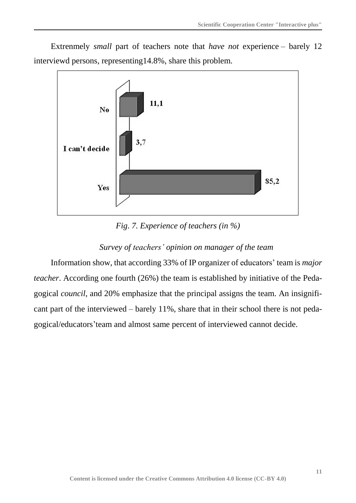Extrenmely *small* part of teachers note that *have not* experience – barely 12 interviewd persons, representing14.8%, share this problem.



*Fig*. *7. Experience of teachers (in %)*

## *Survey of teachers' opinion on manager of the team*

Information show, that according 33% of IP organizer of educators' team is *major teacher*. According one fourth (26%) the team is established by initiative of the Pedagogical *council*, and 20% emphasize that the principal assigns the team. An insignificant part of the interviewed – barely 11%, share that in their school there is not pedagogical/educators'team and almost same percent of interviewed cannot decide.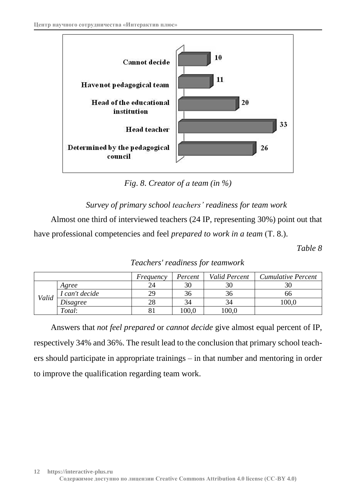

*Fig*. *8*. *Creator of а team (in %)*

*Survey of primary school teachers' readiness for team work*

Almost one third of interviewed teachers (24 IP, representing 30%) point out that have professional competencies and feel *prepared to work in a team* (Т. 8.).

*Table 8*

*Teachers' readiness for teamwork*

|       |                 | Frequency | Percent | <b>Valid Percent</b> | <b>Cumulative Percent</b> |
|-------|-----------------|-----------|---------|----------------------|---------------------------|
|       | Agree           | 24        | 30      | 30                   | 30                        |
| Valid | I can't decide  | 29        | 36      | 36                   | ხხ                        |
|       | <i>Disagree</i> | 28        | 34      | 34                   | 100,0                     |
|       | Total:          | 81        | 100.0   | $100{,}0$            |                           |

Answers that *not feel prepared* or *cannot decide* give almost equal percent of IP, respectively 34% and 36%. The result lead to the conclusion that primary school teachers should participate in appropriate trainings – in that number and mentoring in order to improve the qualification regarding team work.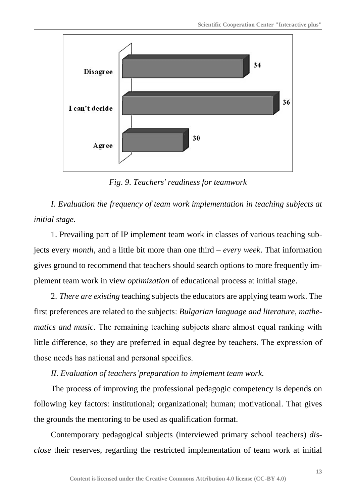

*Fig*. *9*. *Teachers' readiness for teamwork*

*I. Evaluation the frequency of team work implementation in teaching subjects at initial stage.*

1. Prevailing part of IP implement team work in classes of various teaching subjects every *month*, and a little bit more than one third – *every week*. That information gives ground to recommend that teachers should search options to more frequently implement team work in view *optimization* of educational process at initial stage.

2. *There are existing* teaching subjects the educators are applying team work. The first preferences are related to the subjects: *Bulgarian language and literature*, *mathematics and music*. The remaining teaching subjects share almost equal ranking with little difference, so they are preferred in equal degree by teachers. The expression of those needs has national and personal specifics.

*II. Evaluation of teachers'preparation to implement team work.*

The process of improving the professional pedagogic competency is depends on following key factors: institutional; organizational; human; motivational. That gives the grounds the mentoring to be used as qualification format.

Contemporary pedagogical subjects (interviewed primary school teachers) *disclose* their reserves, regarding the restricted implementation of team work at initial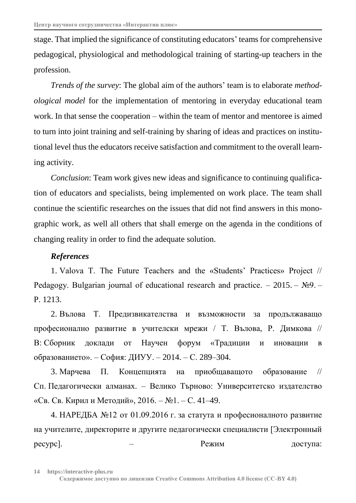stage. That implied the significance of constituting educators' teams for comprehensive pedagogical, physiological and methodological training of starting-up teachers in the profession.

*Trends of the survey*: The global aim of the authors' team is to elaborate *methodological model* for the implementation of mentoring in everyday educational team work. In that sense the cooperation – within the team of mentor and mentoree is aimed to turn into joint training and self-training by sharing of ideas and practices on institutional level thus the educators receive satisfaction and commitment to the overall learning activity.

*Conclusion*: Team work gives new ideas and significance to continuing qualification of educators and specialists, being implemented on work place. The team shall continue the scientific researches on the issues that did not find answers in this monographic work, as well all others that shall emerge on the agenda in the conditions of changing reality in order to find the adequate solution.

#### *References*

1. Valova T. The Future Teachers and the «Students' Practices» Project // Pedagogy. Bulgarian journal of educational research and practice.  $-2015. - NQ9. -$ P. 1213.

2. Вълова Т. Предизвикателства и възможности за продължаващо професионално развитие в учителски мрежи / Т. Вълова, Р. Димкова // В: Сборник доклади от Научен форум «Традиции и иновации в образованието». – София: ДИУУ. – 2014. – С. 289–304.

3. Марчева П. Концепцията на приобщаващото образование // Сп. Педагогически алманах. – Велико Търново: Университетско издателство «Св. Св. Кирил и Методий», 2016. – №1. – С. 41–49.

4. НАРЕДБА №12 от 01.09.2016 г. за статута и професионалното развитие на учителите, директорите и другите педагогически специалисти [Электронный ресурс]. — — Режим Режим доступа: